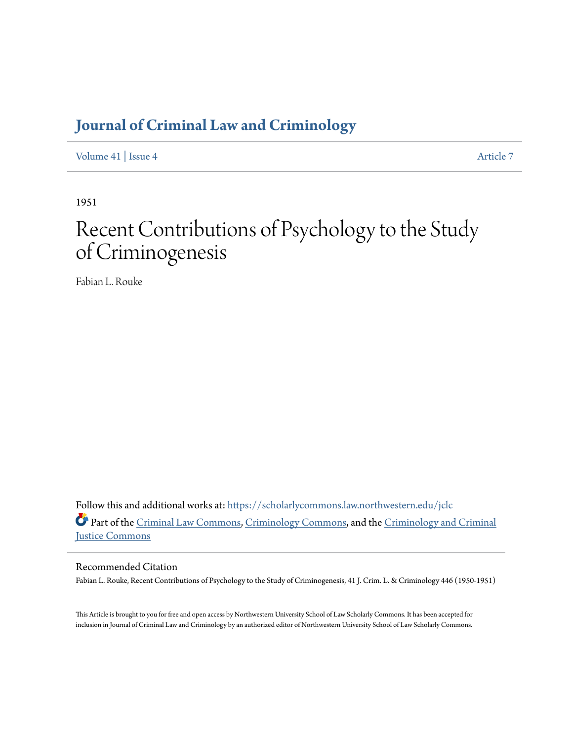# **[Journal of Criminal Law and Criminology](https://scholarlycommons.law.northwestern.edu/jclc?utm_source=scholarlycommons.law.northwestern.edu%2Fjclc%2Fvol41%2Fiss4%2F7&utm_medium=PDF&utm_campaign=PDFCoverPages)**

[Volume 41](https://scholarlycommons.law.northwestern.edu/jclc/vol41?utm_source=scholarlycommons.law.northwestern.edu%2Fjclc%2Fvol41%2Fiss4%2F7&utm_medium=PDF&utm_campaign=PDFCoverPages) | [Issue 4](https://scholarlycommons.law.northwestern.edu/jclc/vol41/iss4?utm_source=scholarlycommons.law.northwestern.edu%2Fjclc%2Fvol41%2Fiss4%2F7&utm_medium=PDF&utm_campaign=PDFCoverPages) [Article 7](https://scholarlycommons.law.northwestern.edu/jclc/vol41/iss4/7?utm_source=scholarlycommons.law.northwestern.edu%2Fjclc%2Fvol41%2Fiss4%2F7&utm_medium=PDF&utm_campaign=PDFCoverPages)

1951

# Recent Contributions of Psychology to the Study of Criminogenesis

Fabian L. Rouke

Follow this and additional works at: [https://scholarlycommons.law.northwestern.edu/jclc](https://scholarlycommons.law.northwestern.edu/jclc?utm_source=scholarlycommons.law.northwestern.edu%2Fjclc%2Fvol41%2Fiss4%2F7&utm_medium=PDF&utm_campaign=PDFCoverPages) Part of the [Criminal Law Commons](http://network.bepress.com/hgg/discipline/912?utm_source=scholarlycommons.law.northwestern.edu%2Fjclc%2Fvol41%2Fiss4%2F7&utm_medium=PDF&utm_campaign=PDFCoverPages), [Criminology Commons](http://network.bepress.com/hgg/discipline/417?utm_source=scholarlycommons.law.northwestern.edu%2Fjclc%2Fvol41%2Fiss4%2F7&utm_medium=PDF&utm_campaign=PDFCoverPages), and the [Criminology and Criminal](http://network.bepress.com/hgg/discipline/367?utm_source=scholarlycommons.law.northwestern.edu%2Fjclc%2Fvol41%2Fiss4%2F7&utm_medium=PDF&utm_campaign=PDFCoverPages) [Justice Commons](http://network.bepress.com/hgg/discipline/367?utm_source=scholarlycommons.law.northwestern.edu%2Fjclc%2Fvol41%2Fiss4%2F7&utm_medium=PDF&utm_campaign=PDFCoverPages)

## Recommended Citation

Fabian L. Rouke, Recent Contributions of Psychology to the Study of Criminogenesis, 41 J. Crim. L. & Criminology 446 (1950-1951)

This Article is brought to you for free and open access by Northwestern University School of Law Scholarly Commons. It has been accepted for inclusion in Journal of Criminal Law and Criminology by an authorized editor of Northwestern University School of Law Scholarly Commons.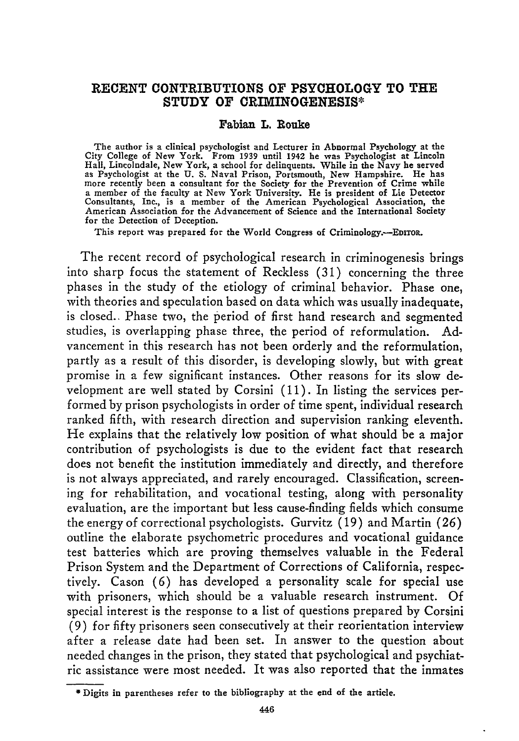## **RECENT CONTRIBUTIONS OF PSYCHOLOGY TO THE STUDY OF CRIMINOGENESIS\***

#### **Fabian** L. **Rouke**

The author is a clinical psychologist and Lecturer in Abnormal Psychology at the City College of New York. From 1939 until 1942 he was Psychologist at Lincoln Hall, Lincolndale, New York, a school for delinquents. While in **a member of the faculty at New York University. He is president of Lie Detector Consultants, Inc., is a member of the American Psychological Association, the American Association for the Advancement of Science and the International Society for the Detection of Deception.**

This report was **prepared for the World Congress of Criminology.-EDITo.**

The recent record of psychological research in criminogenesis brings into sharp focus the statement of Reckless (31) concerning the three phases in the study of the etiology of criminal behavior. Phase one, with theories and speculation based on data which was usually inadequate, is closed.. Phase two, the period of first hand research and segmented studies, is overlapping phase three, the period of reformulation. Advancement in this research has not been orderly and the reformulation, partly as a result of this disorder, is developing slowly, but with great promise in a few significant instances. Other reasons for its slow development are well stated by Corsini (11). In listing the services performed by prison psychologists in order of time spent, individual research ranked fifth, with research direction and supervision ranking eleventh. He explains that the relatively low position of what should be a major contribution of psychologists is due to the evident fact that research does not benefit the institution immediately and directly, and therefore is not always appreciated, and rarely encouraged. Classification, screening for rehabilitation, and vocational testing, along with personality evaluation, are the important but less cause-finding fields which consume the energy of correctional psychologists. Gurvitz (19) and Martin (26) outline the elaborate psychometric procedures and vocational guidance test batteries which are proving themselves valuable in the Federal Prison System and the Department of Corrections of California, respectively. Cason (6) has developed a personality scale for special use with prisoners, which should be a valuable research instrument. Of special interest is the response to a list of questions prepared by Corsini (9) for fifty prisoners seen consecutively at their reorientation interview after a release date had been set. In answer to the question about needed changes in the prison, they stated that psychological and psychiatric assistance were most needed. It was also reported that the inmates

**<sup>\*</sup>Digits in parentheses refer to the bibliography** at the **end** of the article.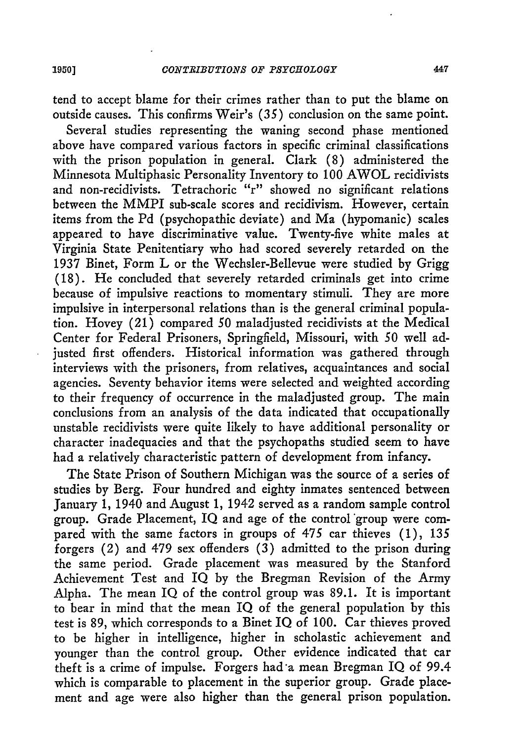tend to accept blame for their crimes rather than to put the blame on outside causes. This confirms Weir's (35) conclusion on the same point.

Several studies representing the waning second phase mentioned above have compared various factors in specific criminal classifications with the prison population in general. Clark (8) administered the Minnesota Multiphasic Personality Inventory to 100 AWOL recidivists and non-recidivists. Tetrachoric "r" showed no significant relations between the MMPI sub-scale scores and recidivism. However, certain items from the Pd (psychopathic deviate) and Ma (hypomanic) scales appeared to have discriminative value. Twenty-five white males at Virginia State Penitentiary who had scored severely retarded on the 1937 Binet, Form L or the Wechsler-Bellevue were studied by Grigg (18). He concluded that severely retarded criminals get into crime because of impulsive reactions to momentary stimuli. They are more impulsive in interpersonal relations than is the general criminal population. Hovey (21) compared 50 maladjusted recidivists at the Medical Center for Federal Prisoners, Springfield, Missouri, with 50 well adjusted first offenders. Historical information was gathered through interviews with the prisoners, from relatives, acquaintances and social agencies. Seventy behavior items were selected and weighted according to their frequency of occurrence in the maladjusted group. The main conclusions from an analysis of the data indicated that occupationally unstable recidivists were quite likely to have additional personality or character inadequacies and that the psychopaths studied seem to have had a relatively characteristic pattern of development from infancy.

The State Prison of Southern Michigan was the source of a series of studies by Berg. Four hundred and eighty inmates sentenced between January 1, 1940 and August 1, 1942 served as a random sample control group. Grade Placement, IQ and age of the control 'group were compared with the same factors in groups of 475 car thieves (1), 135 forgers (2) and 479 sex offenders (3) admitted to the prison during the same period. Grade placement was measured by the Stanford Achievement Test and IQ by the Bregman Revision of the Army Alpha. The mean IQ of the control group was 89.1. It is important to bear in mind that the mean IQ of the general population by this test is 89, which corresponds to a Binet IQ of 100. Car thieves proved to be higher in intelligence, higher in scholastic achievement and younger than the control group. Other evidence indicated that car theft is a crime of impulse. Forgers had a mean Bregman IQ of 99.4 which is comparable to placement in the superior group. Grade placement and age were also higher than the general prison population.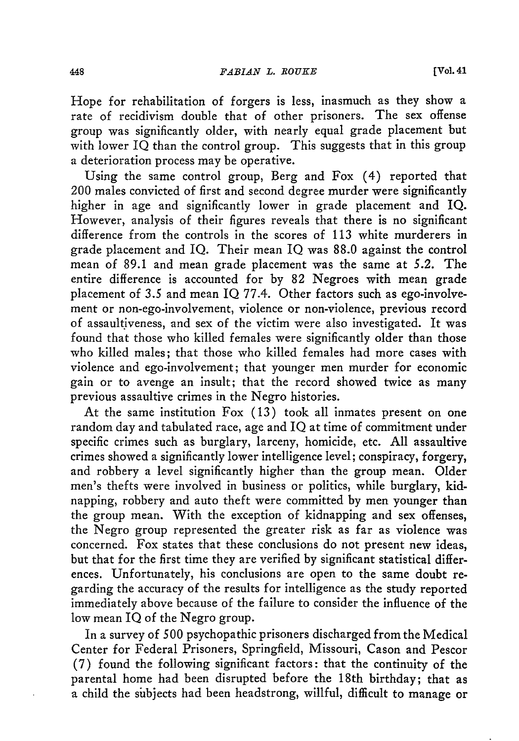[Vol. 41

Hope for rehabilitation of forgers is less, inasmuch as they show a rate of recidivism double that of other prisoners. The sex offense group was significantly older, with nearly equal grade placement but with lower IQ than the control group. This suggests that in this group a deterioration process may be operative.

Using the same control group, Berg and Fox (4) reported that 200 males convicted of first and second degree murder were significantly higher in age and significantly lower in grade placement and IQ. However, analysis of their figures reveals that there is no significant difference from the controls in the scores of **113** white murderers in grade placement and IQ. Their mean IQ was **88.0** against the control mean of **89.1** and mean grade placement was the same at **5.2.** The entire difference is accounted for **by 82** Negroes with mean grade placement of **3.5** and mean IQ **77.4.** Other factors such as ego-involvement or non-ego-involvement, violence or non-violence, previous record of assaultiveness, and sex of the victim were also investigated. It was found that those who killed females were significantly older than those who killed males; that those who killed females had more cases with violence and ego-involvement; that younger men murder for economic gain or to avenge an insult; that the record showed twice as many previous assaultive crimes in the Negro histories.

At the same institution Fox (13) took all inmates present on one random day and tabulated race, age and IQ at time of commitment under specific crimes such as burglary, larceny, homicide, etc. **All** assaultive crimes showed a significantly lower intelligence level; conspiracy, forgery, and robbery a level significantly higher than the group mean. Older men's thefts were involved in business or politics, while burglary, kidnapping, robbery and auto theft were committed **by** men younger than the group mean. With the exception of kidnapping and sex offenses, the Negro group represented the greater risk as far as violence was concerned. Fox states that these conclusions do not present new ideas, but that for the first time they are verified **by** significant statistical differences. Unfortunately, his conclusions are open to the same doubt regarding the accuracy of the results for intelligence as the study reported immediately above because of the failure to consider the influence of the low mean IQ of the Negro group.

In a survey of **500** psychopathic prisoners discharged from the Medical Center for Federal Prisoners, Springfield, Missouri, Cason and Pescor **(7)** found the following significant factors: that the continuity of the parental home had been disrupted before the 18th birthday; that as a child the subjects had been headstrong, willful, difficult to manage or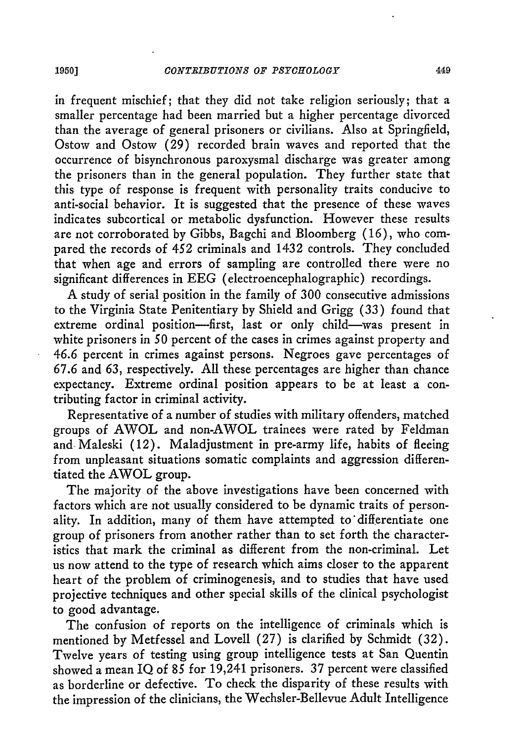in frequent mischief; that they did not take religion seriously; that a smaller percentage had been married but a higher percentage divorced than the average of general prisoners or civilians. Also at Springfield, Ostow and Ostow (29) recorded brain waves and reported that the occurrence of bisynchronous paroxysmal discharge was greater among the prisoners than in the general population. They further state that this type of response is frequent with personality traits conducive to anti-social behavior. It is suggested that the presence of these waves indicates subcortical or metabolic dysfunction. However these results are not corroborated by Gibbs, Bagchi and Bloomberg (16), who compared the records of 452 criminals and 1432 controls. They concluded that when age and errors of sampling are controlled there were no significant differences in EEG (electroencephalographic) recordings.

A study of serial position in the family of 300 consecutive admissions to the Virginia State Penitentiary by Shield and Grigg (33) found that extreme ordinal position-first, last or only child-was present in white prisoners in 50 percent of the cases in crimes against property and 46.6 percent in crimes against persons. Negroes gave percentages of 67.6 and 63, respectively. All these percentages are higher than chance expectancy. Extreme ordinal position appears to be at least a contributing factor in criminal activity.

Representative of a number of studies with military offenders, matched groups of AWOL and non-AWOL trainees were rated by Feldman and Maleski (12). Maladjustment in pre-army life, habits of fleeing from unpleasant situations somatic complaints and aggression differentiated the AWOL group.

The majority of the above investigations have been concerned with factors which are not usually considered to be dynamic traits of personality. In addition, many of them have attempted to differentiate one group of prisoners from another rather than to set forth the characteristics that mark the criminal as different from the non-criminal. Let us now attend to the type of research which aims closer to the apparent heart of the problem of criminogenesis, and to studies that have used projective techniques and other special skills of the clinical psychologist to good advantage.

The confusion of reports on the intelligence of criminals which is mentioned by Metfessel and Lovell (27) is clarified by Schmidt (32). Twelve years of testing using group intelligence tests at San Quentin showed a mean IQ of 85 for 19,241 prisoners. 37 percent were classified as borderline or defective. To check the disparity of these results with the impression of the clinicians, the Wechsler-Bellevue Adult Intelligence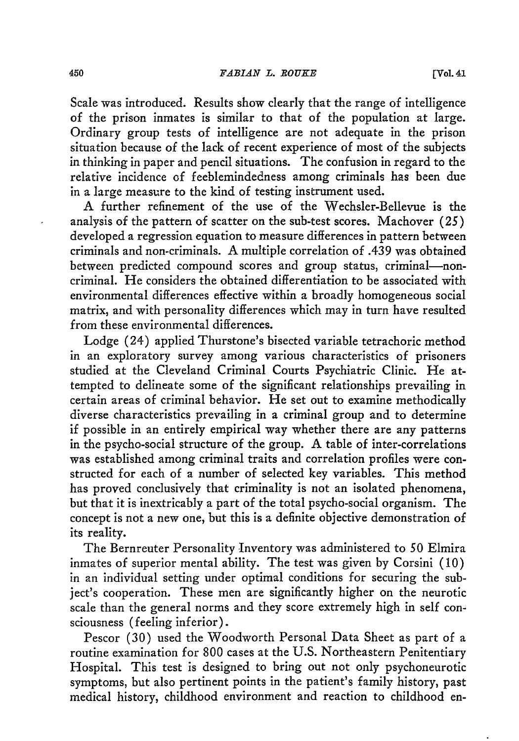Scale was introduced. Results show clearly that the range of intelligence of the prison inmates is similar to that of the population at large. Ordinary group tests of intelligence are not adequate in the prison situation because of the lack of recent experience of most of the subjects in thinking in paper and pencil situations. The confusion in regard to the relative incidence of feeblemindedness among criminals has been due in a large measure to the kind of testing instrument used.

A further refinement of the use of the Wechsler-Bellevue is the analysis of the pattern of scatter on the sub-test scores. Machover (25) developed a regression equation to measure differences in pattern between criminals and non-criminals. A multiple correlation of .439 was obtained between predicted compound scores and group status, criminal---noncriminal. He considers the obtained differentiation to be associated with environmental differences effective within a broadly homogeneous social matrix, and with personality differences which may in turn have resulted from these environmental differences.

Lodge (24) applied Thurstone's bisected variable tetrachoric method in an exploratory survey among various characteristics of prisoners studied at the Cleveland Criminal Courts Psychiatric Clinic. He attempted to delineate some of the significant relationships prevailing in certain areas of criminal behavior. He set out to examine methodically diverse characteristics prevailing in a criminal group and to determine if possible in an entirely empirical way whether there are any patterns in the psycho-social structure of the group. A table of inter-correlations was established among criminal traits and correlation profiles were constructed for each of a number of selected key variables. This method has proved conclusively that criminality is not an isolated phenomena, but that it is inextricably a part of the total psycho-social organism. The concept is not a new one, but this is a definite objective demonstration of its reality.

The Bernreuter Personality Inventory was administered to 50 Elmira inmates of superior mental ability. The test was given by Corsini (10) in an individual setting under optimal conditions for securing the subject's cooperation. These men are significantly higher on the neurotic scale than the general norms and they score extremely high in self consciousness (feeling inferior).

Pescor (30) used the Woodworth Personal Data Sheet as part of a routine examination for 800 cases at the U.S. Northeastern Penitentiary Hospital. This test is designed to bring out not only psychoneurotic symptoms, but also pertinent points in the patient's family history, past medical history, childhood environment and reaction to childhood en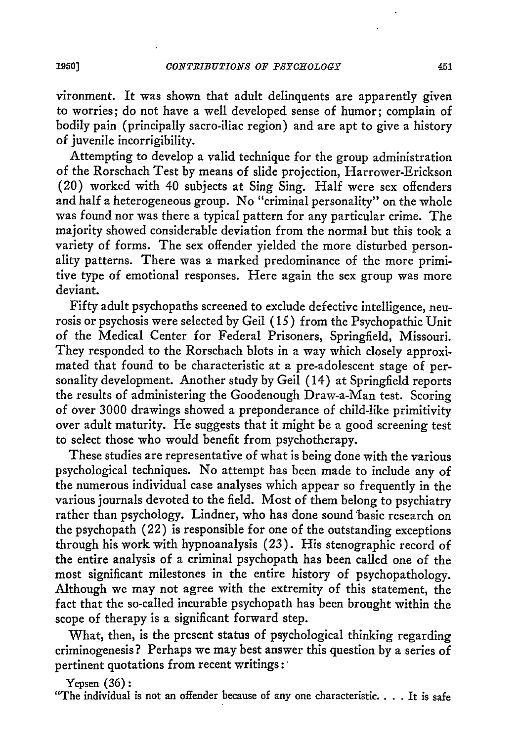vironment. It was shown that adult delinquents are apparently given to worries; do not have a well developed sense of humor; complain of bodily pain (principally sacro-iliac region) and are apt to give a history of juvenile incorrigibility.

Attempting to develop a valid technique for the group administration of the Rorschach Test by means of slide projection, Harrower-Erickson (20) worked with 40 subjects at Sing Sing. Half were sex offenders and half a heterogeneous group. No "criminal personality" on the whole was found nor was there a typical pattern for any particular crime. The majority showed considerable deviation from the normal but this took a variety of forms. The sex offender yielded the more disturbed personality patterns. There was a marked predominance of the more primitive type of emotional responses. Here again the sex group was more deviant.

Fifty adult psychopaths screened to exclude defective intelligence, neurosis or psychosis were selected by Geil (15) from the Psychopathic Unit of the Medical Center for Federal Prisoners, Springfield, Missouri. They responded to the Rorschach blots in a way which closely approximated that found to be characteristic at a pre-adolescent stage of personality development. Another study by Geil (14) at Springfield reports the results of administering the Goodenough Draw-a-Man test. Scoring of over 3000 drawings showed a preponderance of child-like primitivity over adult maturity. He suggests that it might be a good screening test to select those who would benefit from psychotherapy.

These studies are representative of what is being done with the various psychological techniques. No attempt has been made to include any of the numerous individual case analyses which appear so frequently in the various journals devoted to the field. Most of them belong to psychiatry rather than psychology. Lindner, who has done sound'basic research on the psychopath (22) is responsible for one of the outstanding exceptions through his work with hypnoanalysis (23). His stenographic record of the entire analysis of a criminal psychopath has been called one of the most significant milestones in the entire history of psychopathology. Although we may not agree with the extremity of this statement, the fact that the so-called incurable psychopath has been brought within the scope of therapy is a significant forward step.

What, then, is the present status of psychological thinking regarding criminogenesis? Perhaps we may best answer this question by a series of pertinent quotations from recent writings:

Yepsen (36):

"The individual is not an offender because of any one characteristic.... It is safe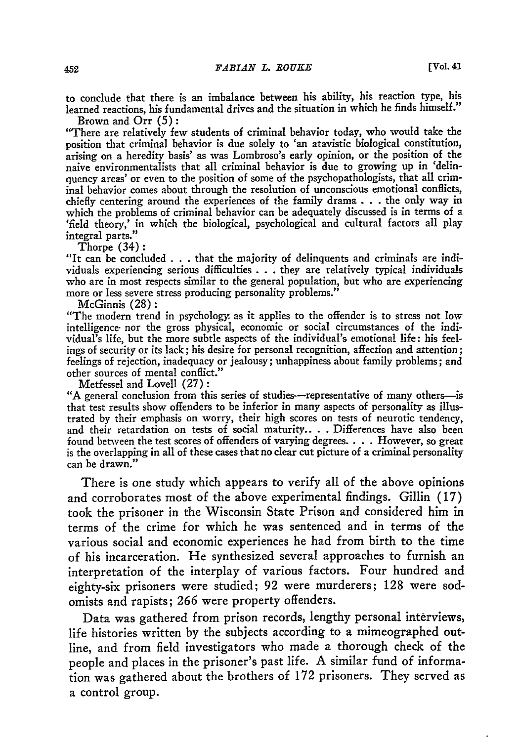to conclude that there is an imbalance between his ability, his reaction type, his learned reactions, his fundamental drives and the situation in which he finds himself." Brown and Orr **(5):**

"There are relatively few students of criminal behavior today, who would take the position that criminal behavior is due solely to 'an atavistic biological constitution, arising on a heredity basis' as was Lombroso's early opinion, or the position of the naive environmentalists that all criminal behavior is due to growing up in 'delinquency areas' or even to the position of some of the psychopathologists, that all criminal behavior comes about through the resolution of unconscious emotional conflicts, chiefly centering around the experiences of the family drama **. .** the only way in which the problems of criminal behavior can be adequately discussed is in terms of a 'field theory,' in which the biological, psychological and cultural factors all play integral parts."

Thorpe (34):

"It can be concluded **. . .** that the majority of delinquents and criminals are individuals experiencing serious difficulties **. . .** they are relatively typical individuals who are in most respects similar to the general population, but who are experiencing more or less severe stress producing personality problems."

McGinnis (28):

"The modern trend in psychology as it applies to the offender is to stress not low intelligence. nor the gross physical, economic or social circumstances of the individual's life, but the more subtle aspects of the individual's emotional life: his feelings of security or its lack; his desire for personal recognition, affection and attention; feelings of rejection, inadequacy or jealousy; unhappiness about family problems; and other sources of mental conflict."

Metfessel and Lovell (27):

"A general conclusion from this series of studies-representative of many others-is that test results show offenders to be inferior in many aspects of personality as illustrated by their emphasis on worry, their high scores on tests of neurotic tendency, and their retardation on tests of social maturity.. . . Differences have also been found between the test scores of offenders of varying degrees. . . However, so great is the overlapping in all of these cases that no clear cut picture of a criminal personality can be drawn."

There is one study which appears to verify all of the above opinions and corroborates most of the above experimental findings. Gillin (17) took the prisoner in the Wisconsin State Prison and considered him in terms of the crime for which he was sentenced and in terms of the various social and economic experiences he had from birth to the time of his incarceration. He synthesized several approaches to furnish an interpretation of the interplay of various factors. Four hundred and eighty-six prisoners were studied; 92 were murderers; **128** were sodomists and rapists; 266 were property offenders.

Data was gathered from prison records, lengthy personal interviews, life histories written by the subjects according to a mimeographed outline, and from field investigators who made a thorough check of the people and places in the prisoner's past life. A similar fund of information was gathered about the brothers of **172** prisoners. They served as a control group.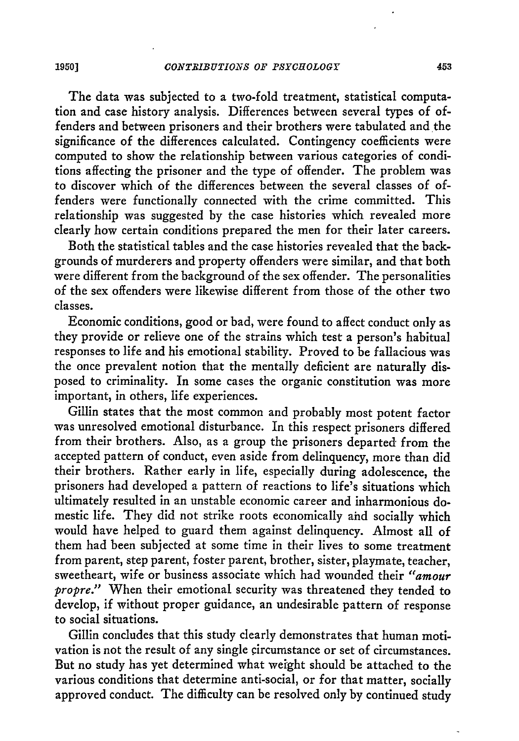The data was subjected to a two-fold treatment, statistical computation and case history analysis. Differences between several types of offenders and between prisoners and their brothers were tabulated and the significance of the differences calculated. Contingency coefficients were computed to show the relationship between various categories of conditions affecting the prisoner and the type of offender. The problem was to discover which of the differences between the several classes of offenders were functionally connected with the crime committed. This relationship was suggested by the case histories which revealed more clearly how certain conditions prepared the men for their later careers.

Both the statistical tables and the case histories revealed that the backgrounds of murderers and property offenders were similar, and that both were different from the background of the sex offender. The personalities of the sex offenders were likewise different from those of the other two classes.

Economic conditions, good or bad, were found to affect conduct only as they provide or relieve one of the strains which test a person's habitual responses to life and his emotional stability. Proved to be fallacious was the once prevalent notion that the mentally deficient are naturally disposed to criminality. In some cases the organic constitution was more important, in others, life experiences.

Gillin states that the most common and probably most potent factor was unresolved emotional disturbance. In this respect prisoners differed from their brothers. Also, as a group the prisoners departed from the accepted pattern of conduct, even aside from delinquency, more than did their brothers. Rather early in life, especially during adolescence, the prisoners had developed a pattern of reactions to life's situations which ultimately resulted in an unstable economic career and inharmonious domestic life. They did not strike roots economically and socially which would have helped to guard them against delinquency. Almost all of them had been subjected at some time in their lives to some treatment from parent, step parent, foster parent, brother, sister, playmate, teacher, sweetheart, wife or business associate which had wounded their *"amour propre."* When their emotional security was threatened they tended to develop, if without proper guidance, an undesirable pattern of response to social situations.

Gillin concludes that this study clearly demonstrates that human motivation is not the result of any single circumstance or set of circumstances. But no study has yet determined what weight should be attached to the various conditions that determine anti-social, or for that matter, socially approved conduct. The difficulty can be resolved only by continued study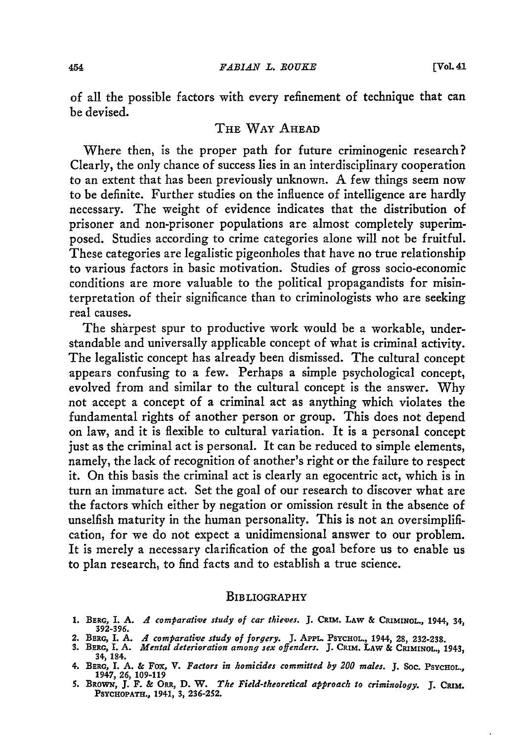of all the possible factors with every refinement of technique that can be devised.

## THE WAY **AHEAD**

Where then, is the proper path for future criminogenic research? Clearly, the only chance of success lies in an interdisciplinary cooperation to an extent that has been previously unknown. A few things seem now to be definite. Further studies on the influence of intelligence are hardly necessary. The weight of evidence indicates that the distribution of prisoner and non-prisoner populations are almost completely superimposed. Studies according to crime categories alone will not be fruitful. These categories are legalistic pigeonholes that have no true relationship to various factors in basic motivation. Studies of gross socio-economic conditions are more valuable to the political propagandists for misinterpretation of their significance than to criminologists who are seeking real causes.

The sharpest spur to productive work would be a workable, understandable and universally applicable concept of what is criminal activity. The legalistic concept has already been dismissed. The cultural concept appears confusing to a few. Perhaps a simple psychological concept, evolved from and similar to the cultural concept is the answer. **Why** not accept a concept of a criminal act as anything which violates the fundamental rights of another person or group. This does not depend on law, and it is flexible to cultural variation. It is a personal concept just as the criminal act is personal. It can be reduced to simple elements, namely, the lack of recognition of another's right or the failure to respect it. On this basis the criminal act is clearly an egocentric act, which is in turn an immature act. Set the goal of our research to discover what are the factors which either **by** negation or omission result in the absence of unselfish maturity in the human personality. This is not an oversimplification, for we do not expect a unidimensional answer to our problem. It is merely a necessary clarification of the goal before us to enable us to plan research, to find facts and to establish a true science.

#### BIBLIOGRAPHY

- **1.** BERG, **I. A.** *.4 comparative study of car thieves.* **J. CRIM. LAW &** CRIMINOL., 1944, **34, 392-396.**
- **2.** BERG, **I. A.** *A comparative study of forgery.* **J. AppL. PSYCHOL., 1944, 28, 232-238.**
- **3.** BERG, **I. A.** *Mental deterioration among sex offenders.* **J. CRIM. LAW & CRIMINOL., 1943,** 34, 184.
- **4.** BERG, **I. A. &** Fox, **V.** *Factors in homicides committed by 200 males.* **J. Soc. PSYCHOL., 1947, 26, 109-119**
- **5.** BROWN, **J. F. &** ORR, **D. W.** *The Field-theoretical approach to criminology. J.* **Cssm. PSYCHOPATH., 1941, 3, 236-252.**